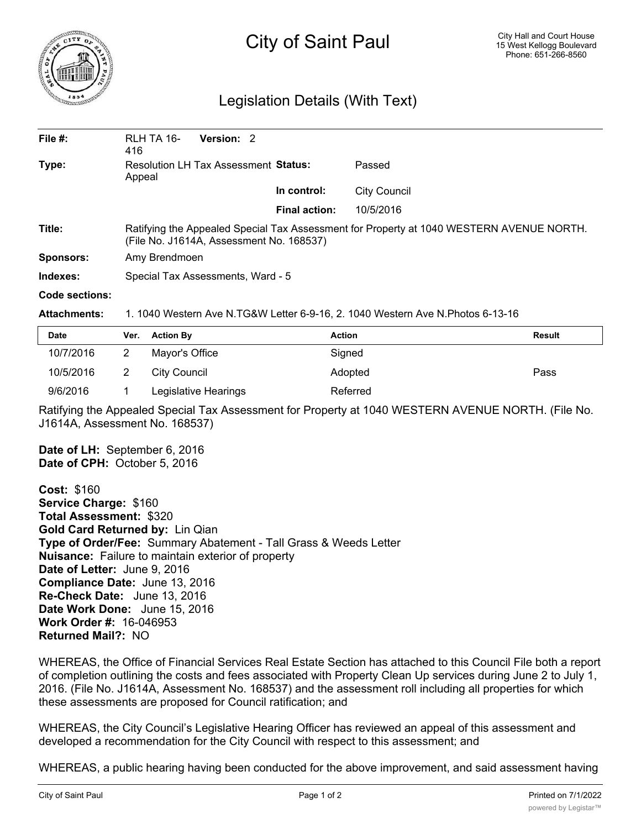

## City of Saint Paul

## Legislation Details (With Text)

| File $#$ :       | RLH TA 16-<br>416                                                                                                                    | Version: 2 |  |                      |              |  |  |
|------------------|--------------------------------------------------------------------------------------------------------------------------------------|------------|--|----------------------|--------------|--|--|
| Type:            | <b>Resolution LH Tax Assessment Status:</b><br>Appeal                                                                                |            |  | Passed               |              |  |  |
|                  |                                                                                                                                      |            |  | In control:          | City Council |  |  |
|                  |                                                                                                                                      |            |  | <b>Final action:</b> | 10/5/2016    |  |  |
| Title:           | Ratifying the Appealed Special Tax Assessment for Property at 1040 WESTERN AVENUE NORTH.<br>(File No. J1614A, Assessment No. 168537) |            |  |                      |              |  |  |
| <b>Sponsors:</b> | Amy Brendmoen                                                                                                                        |            |  |                      |              |  |  |
| Indexes:         | Special Tax Assessments, Ward - 5                                                                                                    |            |  |                      |              |  |  |
| Code sections:   |                                                                                                                                      |            |  |                      |              |  |  |

## **Attachments:** 1. 1040 Western Ave N.TG&W Letter 6-9-16, 2. 1040 Western Ave N.Photos 6-13-16

| Date      | Ver. | <b>Action By</b>     | <b>Action</b> | <b>Result</b> |
|-----------|------|----------------------|---------------|---------------|
| 10/7/2016 |      | Mayor's Office       | Signed        |               |
| 10/5/2016 |      | City Council         | Adopted       | Pass          |
| 9/6/2016  |      | Legislative Hearings | Referred      |               |

Ratifying the Appealed Special Tax Assessment for Property at 1040 WESTERN AVENUE NORTH. (File No. J1614A, Assessment No. 168537)

**Date of LH:** September 6, 2016 **Date of CPH:** October 5, 2016

**Cost:** \$160 **Service Charge:** \$160 **Total Assessment:** \$320 **Gold Card Returned by:** Lin Qian **Type of Order/Fee:** Summary Abatement - Tall Grass & Weeds Letter **Nuisance:** Failure to maintain exterior of property **Date of Letter:** June 9, 2016 **Compliance Date:** June 13, 2016 **Re-Check Date:** June 13, 2016 **Date Work Done:** June 15, 2016 **Work Order #:** 16-046953 **Returned Mail?:** NO

WHEREAS, the Office of Financial Services Real Estate Section has attached to this Council File both a report of completion outlining the costs and fees associated with Property Clean Up services during June 2 to July 1, 2016. (File No. J1614A, Assessment No. 168537) and the assessment roll including all properties for which these assessments are proposed for Council ratification; and

WHEREAS, the City Council's Legislative Hearing Officer has reviewed an appeal of this assessment and developed a recommendation for the City Council with respect to this assessment; and

WHEREAS, a public hearing having been conducted for the above improvement, and said assessment having